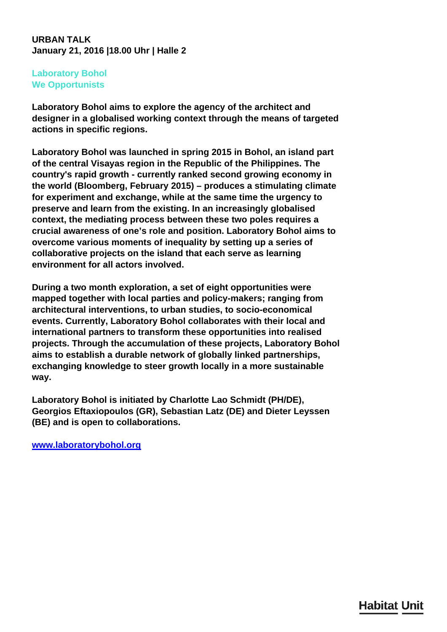## **URBAN TALK January 21, 2016 |18.00 Uhr | Halle 2**

## **Laboratory Bohol We Opportunists**

**Laboratory Bohol aims to explore the agency of the architect and designer in a globalised working context through the means of targeted actions in specific regions.**

**Laboratory Bohol was launched in spring 2015 in Bohol, an island part of the central Visayas region in the Republic of the Philippines. The country's rapid growth - currently ranked second growing economy in the world (Bloomberg, February 2015) – produces a stimulating climate for experiment and exchange, while at the same time the urgency to preserve and learn from the existing. In an increasingly globalised context, the mediating process between these two poles requires a crucial awareness of one's role and position. Laboratory Bohol aims to overcome various moments of inequality by setting up a series of collaborative projects on the island that each serve as learning environment for all actors involved.**

**During a two month exploration, a set of eight opportunities were mapped together with local parties and policy-makers; ranging from architectural interventions, to urban studies, to socio-economical events. Currently, Laboratory Bohol collaborates with their local and international partners to transform these opportunities into realised projects. Through the accumulation of these projects, Laboratory Bohol aims to establish a durable network of globally linked partnerships, exchanging knowledge to steer growth locally in a more sustainable way.**

**Laboratory Bohol is initiated by Charlotte Lao Schmidt (PH/DE), Georgios Eftaxiopoulos (GR), Sebastian Latz (DE) and Dieter Leyssen (BE) and is open to collaborations.**

**[www.laboratorybohol.org](http://www.laboratorybohol.org)**